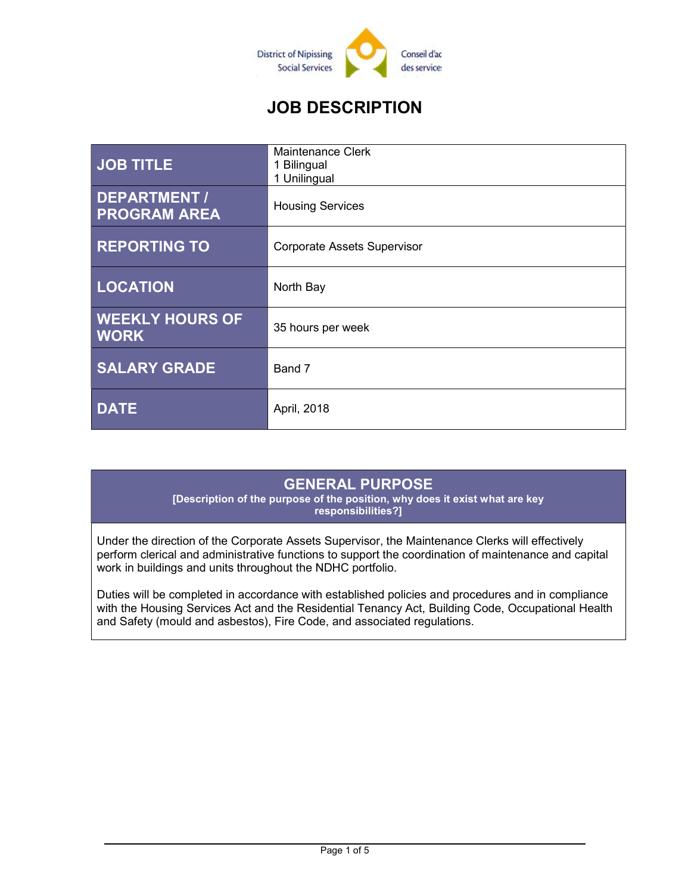

# JOB DESCRIPTION

| <b>JOB TITLE</b>                           | <b>Maintenance Clerk</b><br>1 Bilingual<br>1 Unilingual |
|--------------------------------------------|---------------------------------------------------------|
| <b>DEPARTMENT /</b><br><b>PROGRAM AREA</b> | <b>Housing Services</b>                                 |
| <b>REPORTING TO</b>                        | <b>Corporate Assets Supervisor</b>                      |
| <b>LOCATION</b>                            | North Bay                                               |
| <b>WEEKLY HOURS OF</b><br><b>WORK</b>      | 35 hours per week                                       |
| <b>SALARY GRADE</b>                        | Band 7                                                  |
| <b>DATE</b>                                | April, 2018                                             |

### GENERAL PURPOSE

[Description of the purpose of the position, why does it exist what are key responsibilities?]

Under the direction of the Corporate Assets Supervisor, the Maintenance Clerks will effectively perform clerical and administrative functions to support the coordination of maintenance and capital work in buildings and units throughout the NDHC portfolio.

Duties will be completed in accordance with established policies and procedures and in compliance with the Housing Services Act and the Residential Tenancy Act, Building Code, Occupational Health and Safety (mould and asbestos), Fire Code, and associated regulations.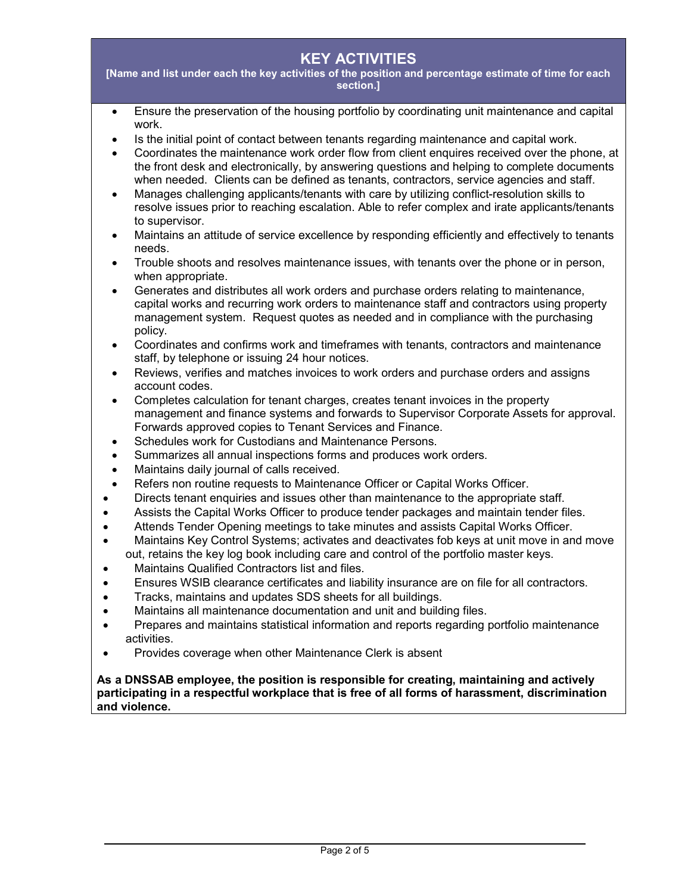#### KEY ACTIVITIES

[Name and list under each the key activities of the position and percentage estimate of time for each section.]

- Ensure the preservation of the housing portfolio by coordinating unit maintenance and capital work.
- Is the initial point of contact between tenants regarding maintenance and capital work.
- Coordinates the maintenance work order flow from client enquires received over the phone, at the front desk and electronically, by answering questions and helping to complete documents when needed. Clients can be defined as tenants, contractors, service agencies and staff.
- Manages challenging applicants/tenants with care by utilizing conflict-resolution skills to resolve issues prior to reaching escalation. Able to refer complex and irate applicants/tenants to supervisor.
- Maintains an attitude of service excellence by responding efficiently and effectively to tenants needs.
- Trouble shoots and resolves maintenance issues, with tenants over the phone or in person, when appropriate.
- Generates and distributes all work orders and purchase orders relating to maintenance, capital works and recurring work orders to maintenance staff and contractors using property management system. Request quotes as needed and in compliance with the purchasing policy.
- Coordinates and confirms work and timeframes with tenants, contractors and maintenance staff, by telephone or issuing 24 hour notices.
- Reviews, verifies and matches invoices to work orders and purchase orders and assigns account codes.
- Completes calculation for tenant charges, creates tenant invoices in the property management and finance systems and forwards to Supervisor Corporate Assets for approval. Forwards approved copies to Tenant Services and Finance.
- Schedules work for Custodians and Maintenance Persons.
- Summarizes all annual inspections forms and produces work orders.
- Maintains daily journal of calls received.
- Refers non routine requests to Maintenance Officer or Capital Works Officer.
- Directs tenant enquiries and issues other than maintenance to the appropriate staff.
- Assists the Capital Works Officer to produce tender packages and maintain tender files.
- Attends Tender Opening meetings to take minutes and assists Capital Works Officer.
- Maintains Key Control Systems; activates and deactivates fob keys at unit move in and move out, retains the key log book including care and control of the portfolio master keys.
- Maintains Qualified Contractors list and files.
- Ensures WSIB clearance certificates and liability insurance are on file for all contractors.
- Tracks, maintains and updates SDS sheets for all buildings.
- Maintains all maintenance documentation and unit and building files.
- Prepares and maintains statistical information and reports regarding portfolio maintenance activities.
- Provides coverage when other Maintenance Clerk is absent

#### As a DNSSAB employee, the position is responsible for creating, maintaining and actively participating in a respectful workplace that is free of all forms of harassment, discrimination and violence.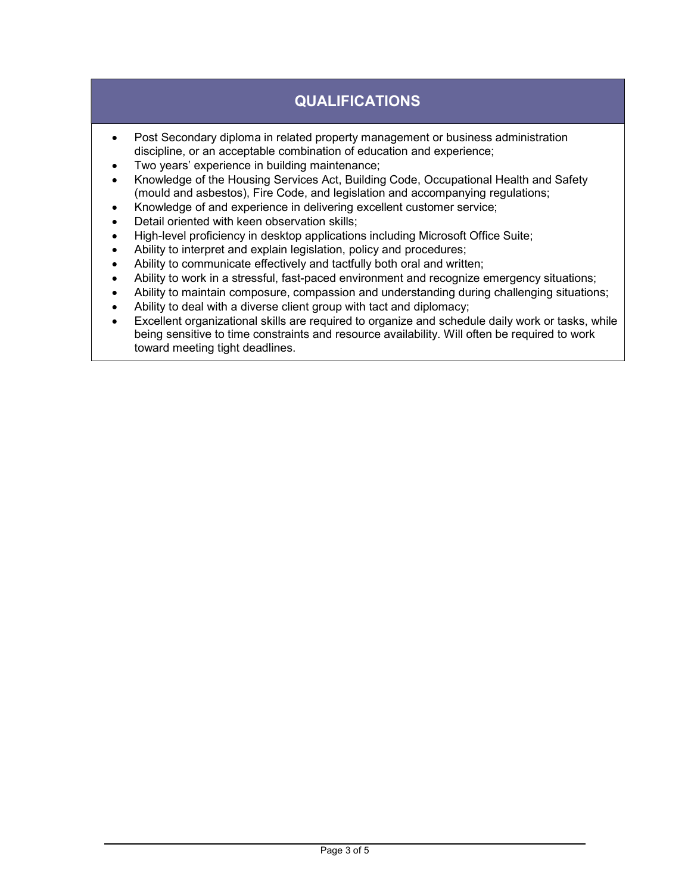# QUALIFICATIONS

- Post Secondary diploma in related property management or business administration discipline, or an acceptable combination of education and experience;
- Two years' experience in building maintenance;
- Knowledge of the Housing Services Act, Building Code, Occupational Health and Safety (mould and asbestos), Fire Code, and legislation and accompanying regulations;
- Knowledge of and experience in delivering excellent customer service;
- Detail oriented with keen observation skills;
- High-level proficiency in desktop applications including Microsoft Office Suite;
- Ability to interpret and explain legislation, policy and procedures;
- Ability to communicate effectively and tactfully both oral and written;
- Ability to work in a stressful, fast-paced environment and recognize emergency situations;
- Ability to maintain composure, compassion and understanding during challenging situations;
- Ability to deal with a diverse client group with tact and diplomacy;
- Excellent organizational skills are required to organize and schedule daily work or tasks, while being sensitive to time constraints and resource availability. Will often be required to work toward meeting tight deadlines.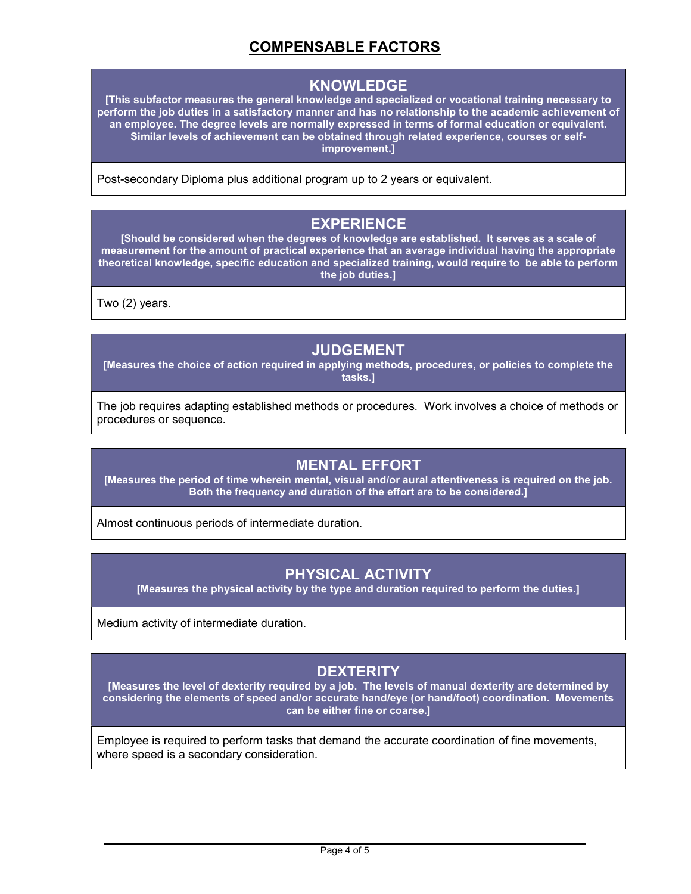## COMPENSABLE FACTORS

#### KNOWLEDGE

[This subfactor measures the general knowledge and specialized or vocational training necessary to perform the job duties in a satisfactory manner and has no relationship to the academic achievement of an employee. The degree levels are normally expressed in terms of formal education or equivalent. Similar levels of achievement can be obtained through related experience, courses or selfimprovement.]

Post-secondary Diploma plus additional program up to 2 years or equivalent.

#### EXPERIENCE

[Should be considered when the degrees of knowledge are established. It serves as a scale of measurement for the amount of practical experience that an average individual having the appropriate theoretical knowledge, specific education and specialized training, would require to be able to perform the job duties.]

Two (2) years.

#### JUDGEMENT

[Measures the choice of action required in applying methods, procedures, or policies to complete the tasks.]

The job requires adapting established methods or procedures. Work involves a choice of methods or procedures or sequence.

### MENTAL EFFORT

[Measures the period of time wherein mental, visual and/or aural attentiveness is required on the job. Both the frequency and duration of the effort are to be considered.]

Almost continuous periods of intermediate duration.

### PHYSICAL ACTIVITY

[Measures the physical activity by the type and duration required to perform the duties.]

Medium activity of intermediate duration.

## **DEXTERITY**

[Measures the level of dexterity required by a job. The levels of manual dexterity are determined by considering the elements of speed and/or accurate hand/eye (or hand/foot) coordination. Movements can be either fine or coarse.]

Employee is required to perform tasks that demand the accurate coordination of fine movements, where speed is a secondary consideration.